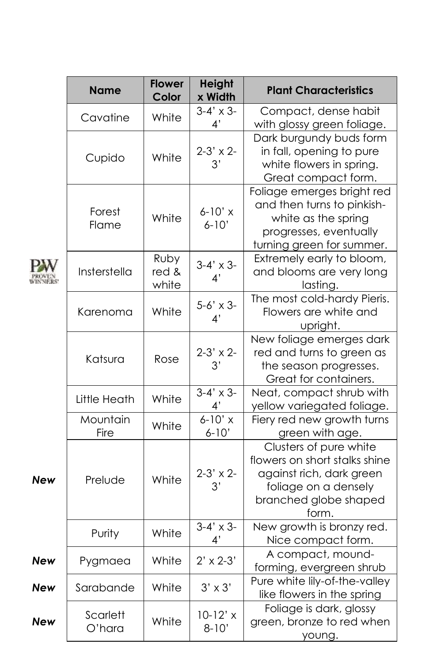|            | <b>Name</b>        | <b>Flower</b><br>Color | <b>Height</b><br>x Width | <b>Plant Characteristics</b>                                                                                                                  |
|------------|--------------------|------------------------|--------------------------|-----------------------------------------------------------------------------------------------------------------------------------------------|
|            | Cavatine           | White                  | $3-4' \times 3-$<br>4'   | Compact, dense habit<br>with glossy green foliage.                                                                                            |
|            | Cupido             | White                  | $2-3' \times 2-$<br>3'   | Dark burgundy buds form<br>in fall, opening to pure<br>white flowers in spring.<br>Great compact form.                                        |
|            | Forest<br>Flame    | White                  | $6-10'$ x<br>$6 - 10'$   | Foliage emerges bright red<br>and then turns to pinkish-<br>white as the spring<br>progresses, eventually<br>turning green for summer.        |
|            | Insterstella       | Ruby<br>red &<br>white | $3-4' \times 3-$<br>4'   | Extremely early to bloom,<br>and blooms are very long<br>lasting.                                                                             |
|            | Karenoma           | White                  | $5-6' \times 3-$<br>4'   | The most cold-hardy Pieris.<br>Flowers are white and<br>upright.                                                                              |
|            | Katsura            | Rose                   | $2-3' \times 2-$<br>3'   | New foliage emerges dark<br>red and turns to green as<br>the season progresses.<br>Great for containers.                                      |
|            | Little Heath       | White                  | $3-4' \times 3$<br>4'    | Neat, compact shrub with<br>yellow variegated foliage.                                                                                        |
| New        | Mountain<br>Fire   | White                  | $6 - 10'$ x<br>$6 - 10'$ | Fiery red new growth turns<br>green with age.                                                                                                 |
|            | Prelude            | White                  | $2-3' \times 2-$<br>3'   | Clusters of pure white<br>flowers on short stalks shine<br>against rich, dark green<br>foliage on a densely<br>branched globe shaped<br>form. |
|            | Purity             | White                  | $3-4' \times 3$<br>4'    | New growth is bronzy red.<br>Nice compact form.                                                                                               |
| New        | Pygmaea            | White                  | $2' \times 2 - 3'$       | A compact, mound-<br>forming, evergreen shrub                                                                                                 |
| <b>New</b> | Sarabande          | White                  | $3' \times 3'$           | Pure white lily-of-the-valley<br>like flowers in the spring                                                                                   |
| New        | Scarlett<br>O'hara | White                  | $10-12'$ x<br>$8 - 10'$  | Foliage is dark, glossy<br>green, bronze to red when<br>young.                                                                                |